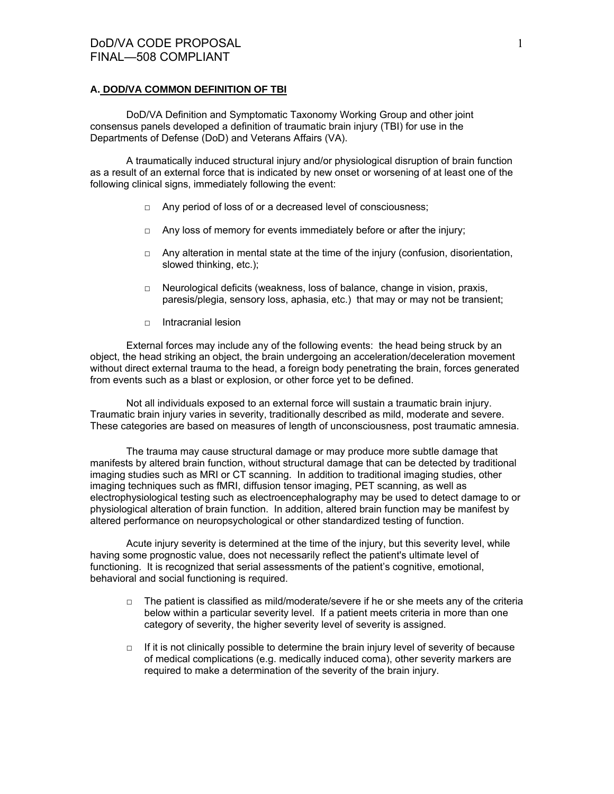#### **A. DOD/VA COMMON DEFINITION OF TBI**

 DoD/VA Definition and Symptomatic Taxonomy Working Group and other joint consensus panels developed a definition of traumatic brain injury (TBI) for use in the Departments of Defense (DoD) and Veterans Affairs (VA).

 A traumatically induced structural injury and/or physiological disruption of brain function as a result of an external force that is indicated by new onset or worsening of at least one of the following clinical signs, immediately following the event:

- □ Any period of loss of or a decreased level of consciousness;
- $\Box$  Any loss of memory for events immediately before or after the injury;
- $\Box$  Any alteration in mental state at the time of the injury (confusion, disorientation, slowed thinking, etc.);
- □ Neurological deficits (weakness, loss of balance, change in vision, praxis, paresis/plegia, sensory loss, aphasia, etc.) that may or may not be transient;
- □ Intracranial lesion

 External forces may include any of the following events: the head being struck by an object, the head striking an object, the brain undergoing an acceleration/deceleration movement without direct external trauma to the head, a foreign body penetrating the brain, forces generated from events such as a blast or explosion, or other force yet to be defined.

 Not all individuals exposed to an external force will sustain a traumatic brain injury. Traumatic brain injury varies in severity, traditionally described as mild, moderate and severe. These categories are based on measures of length of unconsciousness, post traumatic amnesia.

 The trauma may cause structural damage or may produce more subtle damage that manifests by altered brain function, without structural damage that can be detected by traditional imaging studies such as MRI or CT scanning. In addition to traditional imaging studies, other imaging techniques such as fMRI, diffusion tensor imaging, PET scanning, as well as electrophysiological testing such as electroencephalography may be used to detect damage to or physiological alteration of brain function. In addition, altered brain function may be manifest by altered performance on neuropsychological or other standardized testing of function.

 Acute injury severity is determined at the time of the injury, but this severity level, while having some prognostic value, does not necessarily reflect the patient's ultimate level of functioning. It is recognized that serial assessments of the patient's cognitive, emotional, behavioral and social functioning is required.

- $\Box$  The patient is classified as mild/moderate/severe if he or she meets any of the criteria below within a particular severity level. If a patient meets criteria in more than one category of severity, the higher severity level of severity is assigned.
- $\Box$  If it is not clinically possible to determine the brain injury level of severity of because of medical complications (e.g. medically induced coma), other severity markers are required to make a determination of the severity of the brain injury.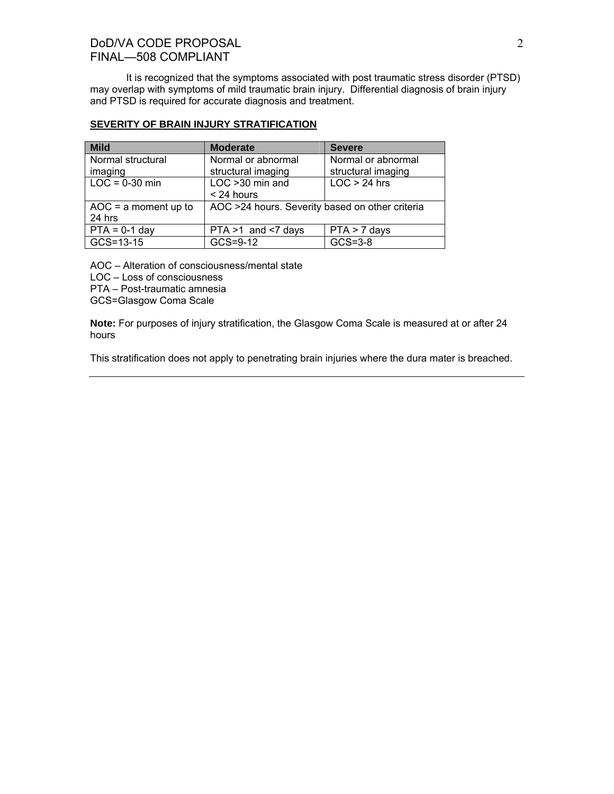It is recognized that the symptoms associated with post traumatic stress disorder (PTSD) may overlap with symptoms of mild traumatic brain injury. Differential diagnosis of brain injury and PTSD is required for accurate diagnosis and treatment.

| <b>Mild</b>            | <b>Moderate</b>                                 | <b>Severe</b>      |
|------------------------|-------------------------------------------------|--------------------|
| Normal structural      | Normal or abnormal                              | Normal or abnormal |
| imaging                | structural imaging                              | structural imaging |
| $LOC = 0-30$ min       | $LOC > 30$ min and                              | $LOC > 24$ hrs     |
|                        | $<$ 24 hours                                    |                    |
| $AOC = a moment up to$ | AOC >24 hours. Severity based on other criteria |                    |
| 24 hrs                 |                                                 |                    |
| $PTA = 0-1$ day        | $PTA > 1$ and $< 7$ days                        | $PTA > 7$ days     |
| GCS=13-15              | GCS=9-12                                        | $GCS = 3-8$        |

## **SEVERITY OF BRAIN INJURY STRATIFICATION**

AOC – Alteration of consciousness/mental state

LOC – Loss of consciousness

PTA – Post-traumatic amnesia

GCS=Glasgow Coma Scale

**Note:** For purposes of injury stratification, the Glasgow Coma Scale is measured at or after 24 hours

This stratification does not apply to penetrating brain injuries where the dura mater is breached.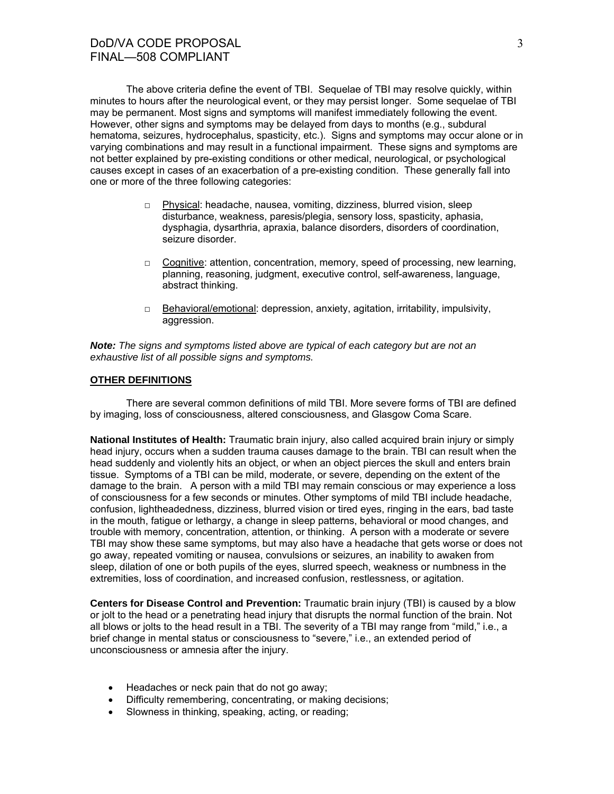The above criteria define the event of TBI. Sequelae of TBI may resolve quickly, within minutes to hours after the neurological event, or they may persist longer. Some sequelae of TBI may be permanent. Most signs and symptoms will manifest immediately following the event. However, other signs and symptoms may be delayed from days to months (e.g., subdural hematoma, seizures, hydrocephalus, spasticity, etc.). Signs and symptoms may occur alone or in varying combinations and may result in a functional impairment. These signs and symptoms are not better explained by pre-existing conditions or other medical, neurological, or psychological causes except in cases of an exacerbation of a pre-existing condition. These generally fall into one or more of the three following categories:

- □ Physical: headache, nausea, vomiting, dizziness, blurred vision, sleep disturbance, weakness, paresis/plegia, sensory loss, spasticity, aphasia, dysphagia, dysarthria, apraxia, balance disorders, disorders of coordination, seizure disorder.
- $\Box$  Cognitive: attention, concentration, memory, speed of processing, new learning, planning, reasoning, judgment, executive control, self-awareness, language, abstract thinking.
- □ Behavioral/emotional: depression, anxiety, agitation, irritability, impulsivity, aggression.

*Note: The signs and symptoms listed above are typical of each category but are not an exhaustive list of all possible signs and symptoms.* 

## **OTHER DEFINITIONS**

 There are several common definitions of mild TBI. More severe forms of TBI are defined by imaging, loss of consciousness, altered consciousness, and Glasgow Coma Scare.

**National Institutes of Health:** Traumatic brain injury, also called acquired brain injury or simply head injury, occurs when a sudden trauma causes damage to the brain. TBI can result when the head suddenly and violently hits an object, or when an object pierces the skull and enters brain tissue. Symptoms of a TBI can be mild, moderate, or severe, depending on the extent of the damage to the brain. A person with a mild TBI may remain conscious or may experience a loss of consciousness for a few seconds or minutes. Other symptoms of mild TBI include headache, confusion, lightheadedness, dizziness, blurred vision or tired eyes, ringing in the ears, bad taste in the mouth, fatigue or lethargy, a change in sleep patterns, behavioral or mood changes, and trouble with memory, concentration, attention, or thinking. A person with a moderate or severe TBI may show these same symptoms, but may also have a headache that gets worse or does not go away, repeated vomiting or nausea, convulsions or seizures, an inability to awaken from sleep, dilation of one or both pupils of the eyes, slurred speech, weakness or numbness in the extremities, loss of coordination, and increased confusion, restlessness, or agitation.

**Centers for Disease Control and Prevention:** Traumatic brain injury (TBI) is caused by a blow or jolt to the head or a penetrating head injury that disrupts the normal function of the brain. Not all blows or jolts to the head result in a TBI. The severity of a TBI may range from "mild," i.e., a brief change in mental status or consciousness to "severe," i.e., an extended period of unconsciousness or amnesia after the injury.

- Headaches or neck pain that do not go away;
- Difficulty remembering, concentrating, or making decisions;
- Slowness in thinking, speaking, acting, or reading;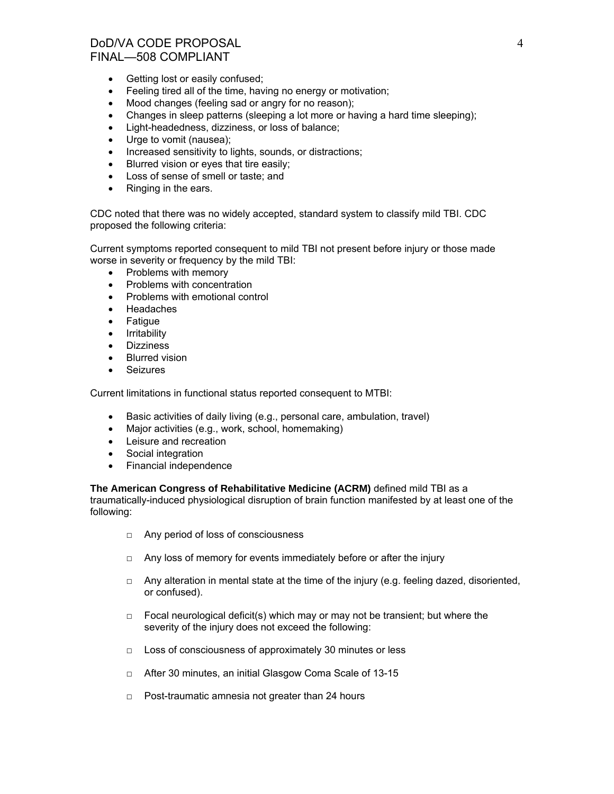- Getting lost or easily confused;
- Feeling tired all of the time, having no energy or motivation;
- Mood changes (feeling sad or angry for no reason);
- Changes in sleep patterns (sleeping a lot more or having a hard time sleeping);
- Light-headedness, dizziness, or loss of balance;
- Urge to vomit (nausea);
- Increased sensitivity to lights, sounds, or distractions;
- Blurred vision or eyes that tire easily;
- Loss of sense of smell or taste; and
- Ringing in the ears.

CDC noted that there was no widely accepted, standard system to classify mild TBI. CDC proposed the following criteria:

Current symptoms reported consequent to mild TBI not present before injury or those made worse in severity or frequency by the mild TBI:

- Problems with memory
- Problems with concentration
- Problems with emotional control
- Headaches
- Fatigue
- Irritability
- Dizziness
- Blurred vision
- Seizures

Current limitations in functional status reported consequent to MTBI:

- Basic activities of daily living (e.g., personal care, ambulation, travel)
- Major activities (e.g., work, school, homemaking)
- Leisure and recreation
- Social integration
- Financial independence

**The American Congress of Rehabilitative Medicine (ACRM)** defined mild TBI as a traumatically-induced physiological disruption of brain function manifested by at least one of the following:

- □ Any period of loss of consciousness
- □ Any loss of memory for events immediately before or after the injury
- $\Box$  Any alteration in mental state at the time of the injury (e.g. feeling dazed, disoriented, or confused).
- $\Box$  Focal neurological deficit(s) which may or may not be transient; but where the severity of the injury does not exceed the following:
- □ Loss of consciousness of approximately 30 minutes or less
- □ After 30 minutes, an initial Glasgow Coma Scale of 13-15
- □ Post-traumatic amnesia not greater than 24 hours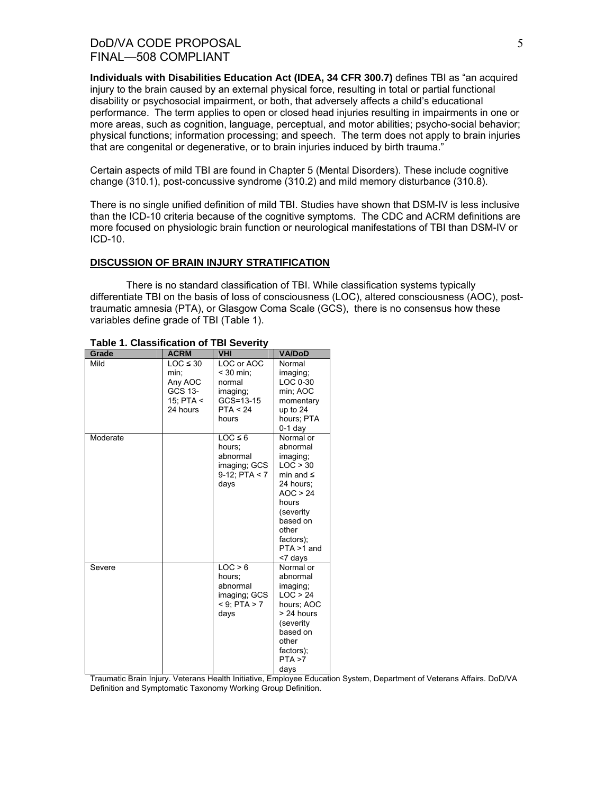**Individuals with Disabilities Education Act (IDEA, 34 CFR 300.7)** defines TBI as "an acquired injury to the brain caused by an external physical force, resulting in total or partial functional disability or psychosocial impairment, or both, that adversely affects a child's educational performance. The term applies to open or closed head injuries resulting in impairments in one or more areas, such as cognition, language, perceptual, and motor abilities; psycho-social behavior; physical functions; information processing; and speech. The term does not apply to brain injuries that are congenital or degenerative, or to brain injuries induced by birth trauma."

Certain aspects of mild TBI are found in Chapter 5 (Mental Disorders). These include cognitive change (310.1), post-concussive syndrome (310.2) and mild memory disturbance (310.8).

There is no single unified definition of mild TBI. Studies have shown that DSM-IV is less inclusive than the ICD-10 criteria because of the cognitive symptoms. The CDC and ACRM definitions are more focused on physiologic brain function or neurological manifestations of TBI than DSM-IV or ICD-10.

#### **DISCUSSION OF BRAIN INJURY STRATIFICATION**

 There is no standard classification of TBI. While classification systems typically differentiate TBI on the basis of loss of consciousness (LOC), altered consciousness (AOC), posttraumatic amnesia (PTA), or Glasgow Coma Scale (GCS), there is no consensus how these variables define grade of TBI (Table 1).

| Grade    | <b>ACRM</b>                                                          | <b>VHI</b>                                                                        | <b>VA/DoD</b>                                                                                                                                                                |
|----------|----------------------------------------------------------------------|-----------------------------------------------------------------------------------|------------------------------------------------------------------------------------------------------------------------------------------------------------------------------|
| Mild     | $LOC \leq 30$<br>min:<br>Any AOC<br>GCS 13-<br>15; PTA <<br>24 hours | LOC or AOC<br>$<$ 30 min;<br>normal<br>imaging;<br>GCS=13-15<br>PTA < 24<br>hours | Normal<br>imaging;<br>LOC 0-30<br>min; AOC<br>momentary<br>up to 24<br>hours; PTA<br>$0-1$ day                                                                               |
| Moderate |                                                                      | $LOC \leq 6$<br>hours:<br>abnormal<br>imaging; GCS<br>$9-12$ ; PTA < 7<br>days    | Normal or<br>abnormal<br>imaging;<br>LOC > 30<br>min and $\leq$<br>24 hours:<br>AOC > 24<br>hours<br>(severity<br>based on<br>other<br>factors);<br>$PTA > 1$ and<br><7 days |
| Severe   |                                                                      | LOC > 6<br>hours:<br>abnormal<br>imaging; GCS<br>$< 9$ ; PTA $> 7$<br>days        | Normal or<br>abnormal<br>imaging;<br>LOC > 24<br>hours; AOC<br>> 24 hours<br>(severity<br>based on<br>other<br>factors);<br>PTA > 7<br>days                                  |

#### **Table 1. Classification of TBI Severity**

Traumatic Brain Injury. Veterans Health Initiative, Employee Education System, Department of Veterans Affairs. DoD/VA Definition and Symptomatic Taxonomy Working Group Definition.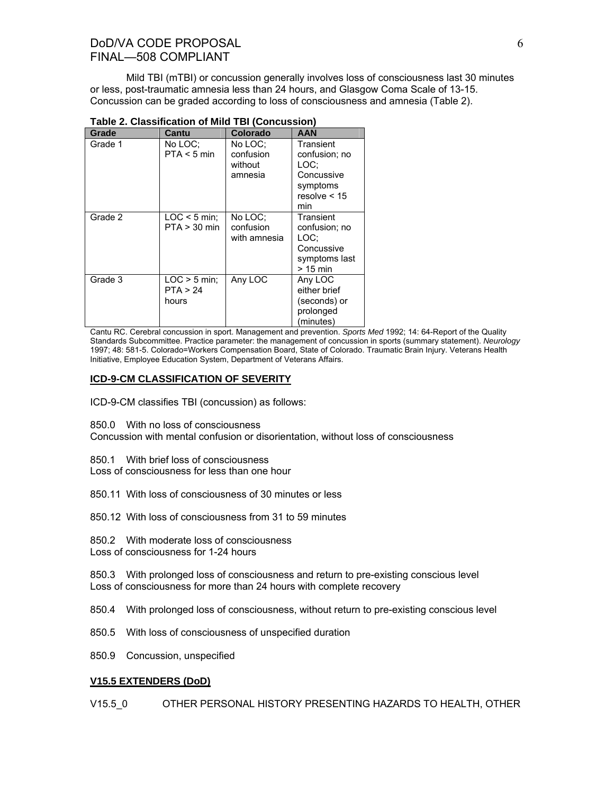Mild TBI (mTBI) or concussion generally involves loss of consciousness last 30 minutes or less, post-traumatic amnesia less than 24 hours, and Glasgow Coma Scale of 13-15. Concussion can be graded according to loss of consciousness and amnesia (Table 2).

| Grade   | Cantu                               | <b>Colorado</b>                            | <b>AAN</b>                                                                            |
|---------|-------------------------------------|--------------------------------------------|---------------------------------------------------------------------------------------|
| Grade 1 | No LOC:<br>PTA < 5 min              | No LOC:<br>confusion<br>without<br>amnesia | Transient<br>confusion; no<br>LOC:<br>Concussive<br>symptoms<br>resolve $<$ 15<br>min |
| Grade 2 | $LOC < 5$ min:<br>$PTA > 30$ min    | No LOC;<br>confusion<br>with amnesia       | Transient<br>confusion; no<br>LOC:<br>Concussive<br>symptoms last<br>$> 15$ min       |
| Grade 3 | $LOC > 5$ min;<br>PTA > 24<br>hours | Any LOC                                    | Any LOC<br>either brief<br>(seconds) or<br>prolonged<br>(minutes)                     |

#### **Table 2. Classification of Mild TBI (Concussion)**

Cantu RC. Cerebral concussion in sport. Management and prevention. *Sports Med* 1992; 14: 64-Report of the Quality Standards Subcommittee. Practice parameter: the management of concussion in sports (summary statement). *Neurology* 1997; 48: 581-5. Colorado=Workers Compensation Board, State of Colorado. Traumatic Brain Injury. Veterans Health Initiative, Employee Education System, Department of Veterans Affairs.

#### **ICD-9-CM CLASSIFICATION OF SEVERITY**

ICD-9-CM classifies TBI (concussion) as follows:

850.0 With no loss of consciousness

Concussion with mental confusion or disorientation, without loss of consciousness

- 850.1 With brief loss of consciousness Loss of consciousness for less than one hour
- 
- 850.11 With loss of consciousness of 30 minutes or less

850.12 With loss of consciousness from 31 to 59 minutes

850.2 With moderate loss of consciousness

Loss of consciousness for 1-24 hours

850.3 With prolonged loss of consciousness and return to pre-existing conscious level Loss of consciousness for more than 24 hours with complete recovery

850.4 With prolonged loss of consciousness, without return to pre-existing conscious level

- 850.5 With loss of consciousness of unspecified duration
- 850.9 Concussion, unspecified

## **V15.5 EXTENDERS (DoD)**

V15.5\_0 OTHER PERSONAL HISTORY PRESENTING HAZARDS TO HEALTH, OTHER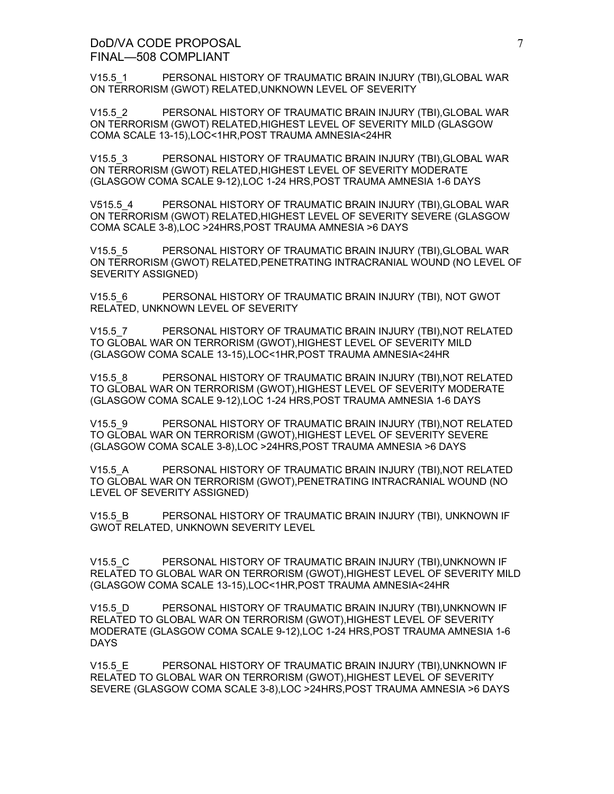V15.5 1 PERSONAL HISTORY OF TRAUMATIC BRAIN INJURY (TBI),GLOBAL WAR ON TERRORISM (GWOT) RELATED,UNKNOWN LEVEL OF SEVERITY

V15.5\_2 PERSONAL HISTORY OF TRAUMATIC BRAIN INJURY (TBI),GLOBAL WAR ON TERRORISM (GWOT) RELATED,HIGHEST LEVEL OF SEVERITY MILD (GLASGOW COMA SCALE 13-15),LOC<1HR,POST TRAUMA AMNESIA<24HR

V15.5\_3 PERSONAL HISTORY OF TRAUMATIC BRAIN INJURY (TBI),GLOBAL WAR ON TERRORISM (GWOT) RELATED,HIGHEST LEVEL OF SEVERITY MODERATE (GLASGOW COMA SCALE 9-12),LOC 1-24 HRS,POST TRAUMA AMNESIA 1-6 DAYS

V515.5 4 PERSONAL HISTORY OF TRAUMATIC BRAIN INJURY (TBI), GLOBAL WAR ON TERRORISM (GWOT) RELATED,HIGHEST LEVEL OF SEVERITY SEVERE (GLASGOW COMA SCALE 3-8),LOC >24HRS,POST TRAUMA AMNESIA >6 DAYS

V15.5 5 PERSONAL HISTORY OF TRAUMATIC BRAIN INJURY (TBI),GLOBAL WAR ON TERRORISM (GWOT) RELATED,PENETRATING INTRACRANIAL WOUND (NO LEVEL OF SEVERITY ASSIGNED)

V15.5\_6 PERSONAL HISTORY OF TRAUMATIC BRAIN INJURY (TBI), NOT GWOT RELATED, UNKNOWN LEVEL OF SEVERITY

V15.5 7 PERSONAL HISTORY OF TRAUMATIC BRAIN INJURY (TBI),NOT RELATED TO GLOBAL WAR ON TERRORISM (GWOT),HIGHEST LEVEL OF SEVERITY MILD (GLASGOW COMA SCALE 13-15),LOC<1HR,POST TRAUMA AMNESIA<24HR

V15.5 8 PERSONAL HISTORY OF TRAUMATIC BRAIN INJURY (TBI),NOT RELATED TO GLOBAL WAR ON TERRORISM (GWOT),HIGHEST LEVEL OF SEVERITY MODERATE (GLASGOW COMA SCALE 9-12),LOC 1-24 HRS,POST TRAUMA AMNESIA 1-6 DAYS

V15.5 9 PERSONAL HISTORY OF TRAUMATIC BRAIN INJURY (TBI),NOT RELATED TO GLOBAL WAR ON TERRORISM (GWOT),HIGHEST LEVEL OF SEVERITY SEVERE (GLASGOW COMA SCALE 3-8),LOC >24HRS,POST TRAUMA AMNESIA >6 DAYS

V15.5 A PERSONAL HISTORY OF TRAUMATIC BRAIN INJURY (TBI),NOT RELATED TO GLOBAL WAR ON TERRORISM (GWOT),PENETRATING INTRACRANIAL WOUND (NO LEVEL OF SEVERITY ASSIGNED)

V15.5 B PERSONAL HISTORY OF TRAUMATIC BRAIN INJURY (TBI), UNKNOWN IF GWOT RELATED, UNKNOWN SEVERITY LEVEL

V15.5\_C PERSONAL HISTORY OF TRAUMATIC BRAIN INJURY (TBI),UNKNOWN IF RELATED TO GLOBAL WAR ON TERRORISM (GWOT),HIGHEST LEVEL OF SEVERITY MILD (GLASGOW COMA SCALE 13-15),LOC<1HR,POST TRAUMA AMNESIA<24HR

V15.5\_D PERSONAL HISTORY OF TRAUMATIC BRAIN INJURY (TBI),UNKNOWN IF RELATED TO GLOBAL WAR ON TERRORISM (GWOT),HIGHEST LEVEL OF SEVERITY MODERATE (GLASGOW COMA SCALE 9-12),LOC 1-24 HRS,POST TRAUMA AMNESIA 1-6 DAYS

V15.5 E PERSONAL HISTORY OF TRAUMATIC BRAIN INJURY (TBI),UNKNOWN IF RELATED TO GLOBAL WAR ON TERRORISM (GWOT),HIGHEST LEVEL OF SEVERITY SEVERE (GLASGOW COMA SCALE 3-8),LOC >24HRS,POST TRAUMA AMNESIA >6 DAYS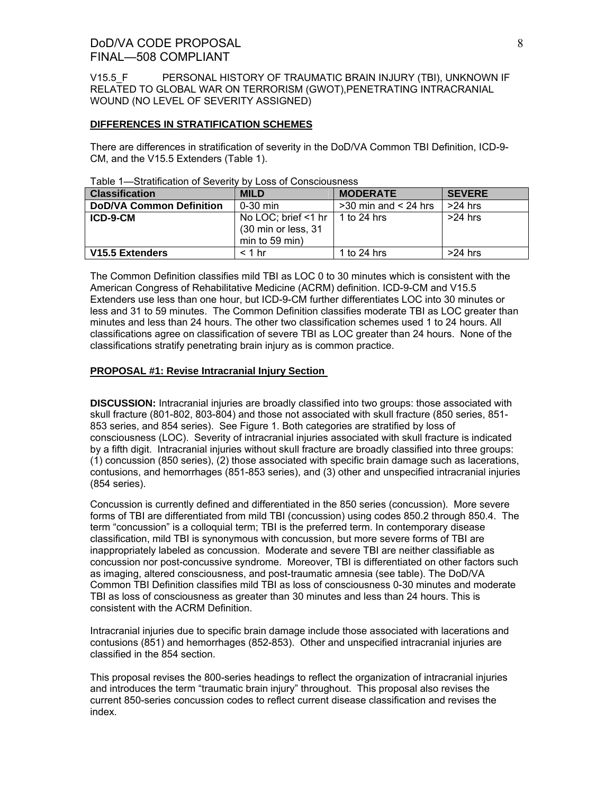V15.5 F PERSONAL HISTORY OF TRAUMATIC BRAIN INJURY (TBI), UNKNOWN IF RELATED TO GLOBAL WAR ON TERRORISM (GWOT),PENETRATING INTRACRANIAL WOUND (NO LEVEL OF SEVERITY ASSIGNED)

#### **DIFFERENCES IN STRATIFICATION SCHEMES**

There are differences in stratification of severity in the DoD/VA Common TBI Definition, ICD-9- CM, and the V15.5 Extenders (Table 1).

| <b>Classification</b>           | <b>MILD</b>                           | <b>MODERATE</b>          | <b>SEVERE</b> |
|---------------------------------|---------------------------------------|--------------------------|---------------|
| <b>DoD/VA Common Definition</b> | $0-30$ min                            | $>30$ min and $< 24$ hrs | $>24$ hrs     |
| ICD-9-CM                        | No LOC; brief $\leq 1$ hr $\parallel$ | 1 to 24 hrs              | $>24$ hrs     |
|                                 | (30 min or less, 31                   |                          |               |
|                                 | min to 59 min)                        |                          |               |
| V <sub>15.5</sub> Extenders     | $<$ 1 hr                              | 1 to 24 hrs              | $>24$ hrs     |

Table 1—Stratification of Severity by Loss of Consciousness

The Common Definition classifies mild TBI as LOC 0 to 30 minutes which is consistent with the American Congress of Rehabilitative Medicine (ACRM) definition. ICD-9-CM and V15.5 Extenders use less than one hour, but ICD-9-CM further differentiates LOC into 30 minutes or less and 31 to 59 minutes. The Common Definition classifies moderate TBI as LOC greater than minutes and less than 24 hours. The other two classification schemes used 1 to 24 hours. All classifications agree on classification of severe TBI as LOC greater than 24 hours. None of the classifications stratify penetrating brain injury as is common practice.

#### **PROPOSAL #1: Revise Intracranial Injury Section**

**DISCUSSION:** Intracranial injuries are broadly classified into two groups: those associated with skull fracture (801-802, 803-804) and those not associated with skull fracture (850 series, 851- 853 series, and 854 series). See Figure 1. Both categories are stratified by loss of consciousness (LOC). Severity of intracranial injuries associated with skull fracture is indicated by a fifth digit. Intracranial injuries without skull fracture are broadly classified into three groups: (1) concussion (850 series), (2) those associated with specific brain damage such as lacerations, contusions, and hemorrhages (851-853 series), and (3) other and unspecified intracranial injuries (854 series).

Concussion is currently defined and differentiated in the 850 series (concussion). More severe forms of TBI are differentiated from mild TBI (concussion) using codes 850.2 through 850.4. The term "concussion" is a colloquial term; TBI is the preferred term. In contemporary disease classification, mild TBI is synonymous with concussion, but more severe forms of TBI are inappropriately labeled as concussion. Moderate and severe TBI are neither classifiable as concussion nor post-concussive syndrome. Moreover, TBI is differentiated on other factors such as imaging, altered consciousness, and post-traumatic amnesia (see table). The DoD/VA Common TBI Definition classifies mild TBI as loss of consciousness 0-30 minutes and moderate TBI as loss of consciousness as greater than 30 minutes and less than 24 hours. This is consistent with the ACRM Definition.

Intracranial injuries due to specific brain damage include those associated with lacerations and contusions (851) and hemorrhages (852-853). Other and unspecified intracranial injuries are classified in the 854 section.

This proposal revises the 800-series headings to reflect the organization of intracranial injuries and introduces the term "traumatic brain injury" throughout. This proposal also revises the current 850-series concussion codes to reflect current disease classification and revises the index.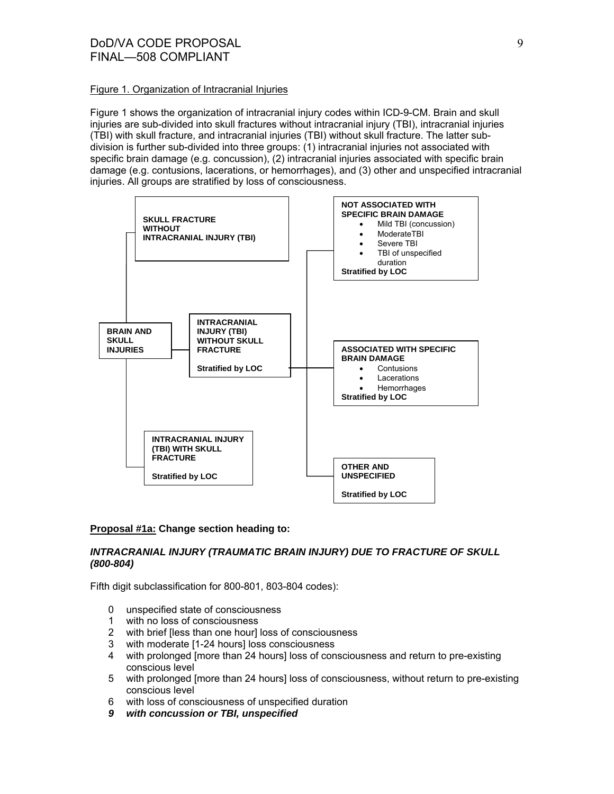## Figure 1. Organization of Intracranial Injuries

Figure 1 shows the organization of intracranial injury codes within ICD-9-CM. Brain and skull injuries are sub-divided into skull fractures without intracranial injury (TBI), intracranial injuries (TBI) with skull fracture, and intracranial injuries (TBI) without skull fracture. The latter subdivision is further sub-divided into three groups: (1) intracranial injuries not associated with specific brain damage (e.g. concussion), (2) intracranial injuries associated with specific brain damage (e.g. contusions, lacerations, or hemorrhages), and (3) other and unspecified intracranial injuries. All groups are stratified by loss of consciousness.



## **Proposal #1a: Change section heading to:**

## *INTRACRANIAL INJURY (TRAUMATIC BRAIN INJURY) DUE TO FRACTURE OF SKULL (800-804)*

Fifth digit subclassification for 800-801, 803-804 codes):

- 0 unspecified state of consciousness
- 1 with no loss of consciousness
- 2 with brief [less than one hour] loss of consciousness
- 3 with moderate [1-24 hours] loss consciousness
- 4 with prolonged [more than 24 hours] loss of consciousness and return to pre-existing conscious level
- 5 with prolonged [more than 24 hours] loss of consciousness, without return to pre-existing conscious level
- 6 with loss of consciousness of unspecified duration
- *9 with concussion or TBI, unspecified*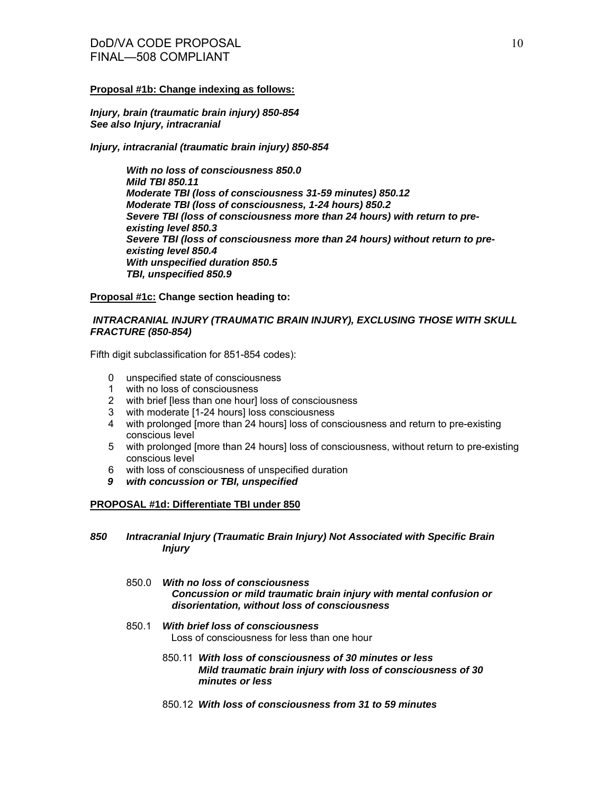## **Proposal #1b: Change indexing as follows:**

*Injury, brain (traumatic brain injury) 850-854 See also Injury, intracranial* 

## *Injury, intracranial (traumatic brain injury) 850-854*

 *With no loss of consciousness 850.0 Mild TBI 850.11 Moderate TBI (loss of consciousness 31-59 minutes) 850.12 Moderate TBI (loss of consciousness, 1-24 hours) 850.2 Severe TBI (loss of consciousness more than 24 hours) with return to pre existing level 850.3 Severe TBI (loss of consciousness more than 24 hours) without return to pre existing level 850.4 With unspecified duration 850.5 TBI, unspecified 850.9* 

**Proposal #1c: Change section heading to:** 

## *INTRACRANIAL INJURY (TRAUMATIC BRAIN INJURY), EXCLUSING THOSE WITH SKULL FRACTURE (850-854)*

Fifth digit subclassification for 851-854 codes):

- 0 unspecified state of consciousness
- 1 with no loss of consciousness
- 2 with brief [less than one hour] loss of consciousness
- 3 with moderate [1-24 hours] loss consciousness
- 4 with prolonged [more than 24 hours] loss of consciousness and return to pre-existing conscious level
- 5 with prolonged [more than 24 hours] loss of consciousness, without return to pre-existing conscious level
- 6 with loss of consciousness of unspecified duration
- *9 with concussion or TBI, unspecified*

## **PROPOSAL #1d: Differentiate TBI under 850**

- *850 Intracranial Injury (Traumatic Brain Injury) Not Associated with Specific Brain Injury*
	- 850.0 *With no loss of consciousness Concussion or mild traumatic brain injury with mental confusion or disorientation, without loss of consciousness*
	- 850.1 *With brief loss of consciousness*  Loss of consciousness for less than one hour
		- 850.11 *With loss of consciousness of 30 minutes or less*  *Mild traumatic brain injury with loss of consciousness of 30 minutes or less*
		- 850.12 *With loss of consciousness from 31 to 59 minutes*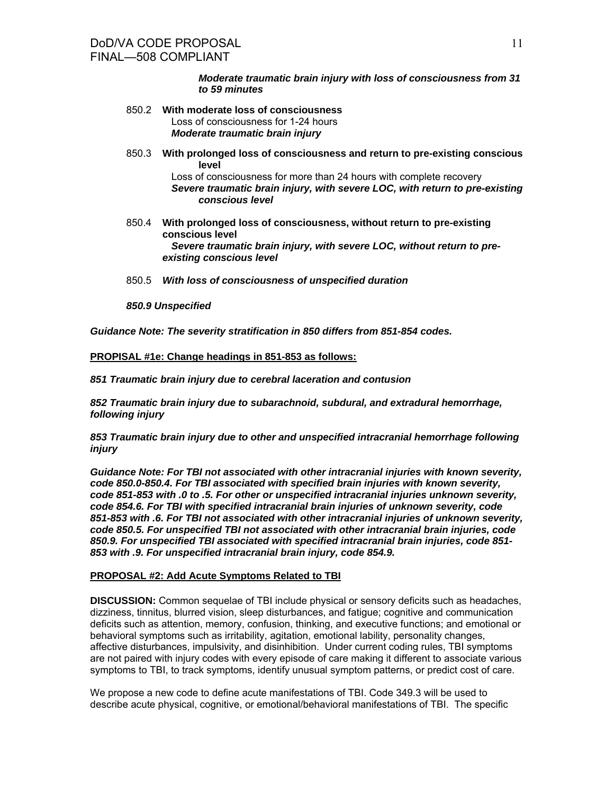*Moderate traumatic brain injury with loss of consciousness from 31 to 59 minutes* 

- 850.2 **With moderate loss of consciousness**  Loss of consciousness for 1-24 hours *Moderate traumatic brain injury*
- 850.3 **With prolonged loss of consciousness and return to pre-existing conscious level**

 Loss of consciousness for more than 24 hours with complete recovery *Severe traumatic brain injury, with severe LOC, with return to pre-existing conscious level* 

- 850.4 **With prolonged loss of consciousness, without return to pre-existing conscious level**  *Severe traumatic brain injury, with severe LOC, without return to preexisting conscious level*
- 850.5 *With loss of consciousness of unspecified duration*

*850.9 Unspecified*

*Guidance Note: The severity stratification in 850 differs from 851-854 codes.* 

#### **PROPISAL #1e: Change headings in 851-853 as follows:**

*851 Traumatic brain injury due to cerebral laceration and contusion* 

*852 Traumatic brain injury due to subarachnoid, subdural, and extradural hemorrhage, following injury* 

*853 Traumatic brain injury due to other and unspecified intracranial hemorrhage following injury* 

*Guidance Note: For TBI not associated with other intracranial injuries with known severity, code 850.0-850.4. For TBI associated with specified brain injuries with known severity, code 851-853 with .0 to .5. For other or unspecified intracranial injuries unknown severity, code 854.6. For TBI with specified intracranial brain injuries of unknown severity, code 851-853 with .6. For TBI not associated with other intracranial injuries of unknown severity, code 850.5. For unspecified TBI not associated with other intracranial brain injuries, code 850.9. For unspecified TBI associated with specified intracranial brain injuries, code 851- 853 with .9. For unspecified intracranial brain injury, code 854.9.* 

## **PROPOSAL #2: Add Acute Symptoms Related to TBI**

**DISCUSSION:** Common sequelae of TBI include physical or sensory deficits such as headaches, dizziness, tinnitus, blurred vision, sleep disturbances, and fatigue; cognitive and communication deficits such as attention, memory, confusion, thinking, and executive functions; and emotional or behavioral symptoms such as irritability, agitation, emotional lability, personality changes, affective disturbances, impulsivity, and disinhibition. Under current coding rules, TBI symptoms are not paired with injury codes with every episode of care making it different to associate various symptoms to TBI, to track symptoms, identify unusual symptom patterns, or predict cost of care.

We propose a new code to define acute manifestations of TBI. Code 349.3 will be used to describe acute physical, cognitive, or emotional/behavioral manifestations of TBI. The specific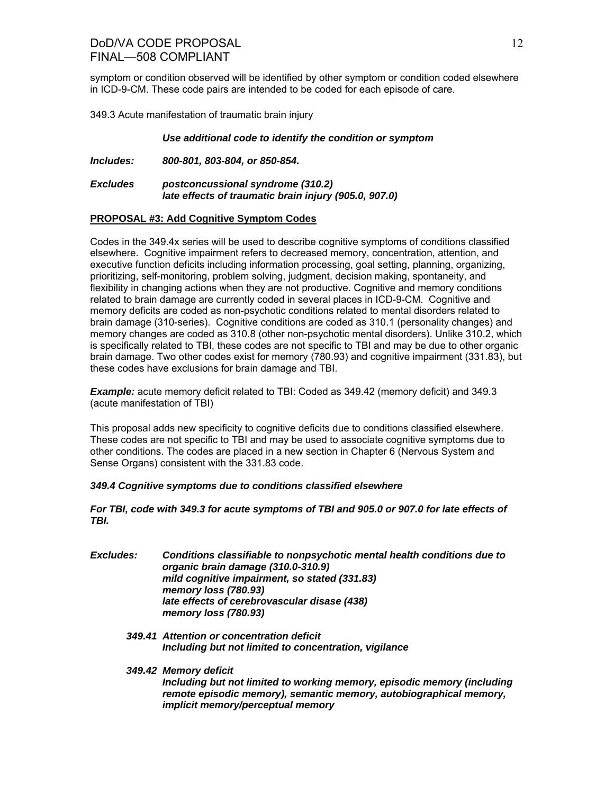symptom or condition observed will be identified by other symptom or condition coded elsewhere in ICD-9-CM. These code pairs are intended to be coded for each episode of care.

349.3 Acute manifestation of traumatic brain injury

# *Use additional code to identify the condition or symptom Includes: 800-801, 803-804, or 850-854. Excludes postconcussional syndrome (310.2) late effects of traumatic brain injury (905.0, 907.0)*

## **PROPOSAL #3: Add Cognitive Symptom Codes**

Codes in the 349.4x series will be used to describe cognitive symptoms of conditions classified elsewhere. Cognitive impairment refers to decreased memory, concentration, attention, and executive function deficits including information processing, goal setting, planning, organizing, prioritizing, self-monitoring, problem solving, judgment, decision making, spontaneity, and flexibility in changing actions when they are not productive. Cognitive and memory conditions related to brain damage are currently coded in several places in ICD-9-CM. Cognitive and memory deficits are coded as non-psychotic conditions related to mental disorders related to brain damage (310-series). Cognitive conditions are coded as 310.1 (personality changes) and memory changes are coded as 310.8 (other non-psychotic mental disorders). Unlike 310.2, which is specifically related to TBI, these codes are not specific to TBI and may be due to other organic brain damage. Two other codes exist for memory (780.93) and cognitive impairment (331.83), but these codes have exclusions for brain damage and TBI.

**Example:** acute memory deficit related to TBI: Coded as 349.42 (memory deficit) and 349.3 (acute manifestation of TBI)

This proposal adds new specificity to cognitive deficits due to conditions classified elsewhere. These codes are not specific to TBI and may be used to associate cognitive symptoms due to other conditions. The codes are placed in a new section in Chapter 6 (Nervous System and Sense Organs) consistent with the 331.83 code.

## *349.4 Cognitive symptoms due to conditions classified elsewhere*

*For TBI, code with 349.3 for acute symptoms of TBI and 905.0 or 907.0 for late effects of TBI.* 

- *Excludes: Conditions classifiable to nonpsychotic mental health conditions due to organic brain damage (310.0-310.9) mild cognitive impairment, so stated (331.83) memory loss (780.93) late effects of cerebrovascular disase (438) memory loss (780.93)* 
	- *349.41 Attention or concentration deficit Including but not limited to concentration, vigilance*

## *349.42 Memory deficit*

 *Including but not limited to working memory, episodic memory (including remote episodic memory), semantic memory, autobiographical memory, implicit memory/perceptual memory*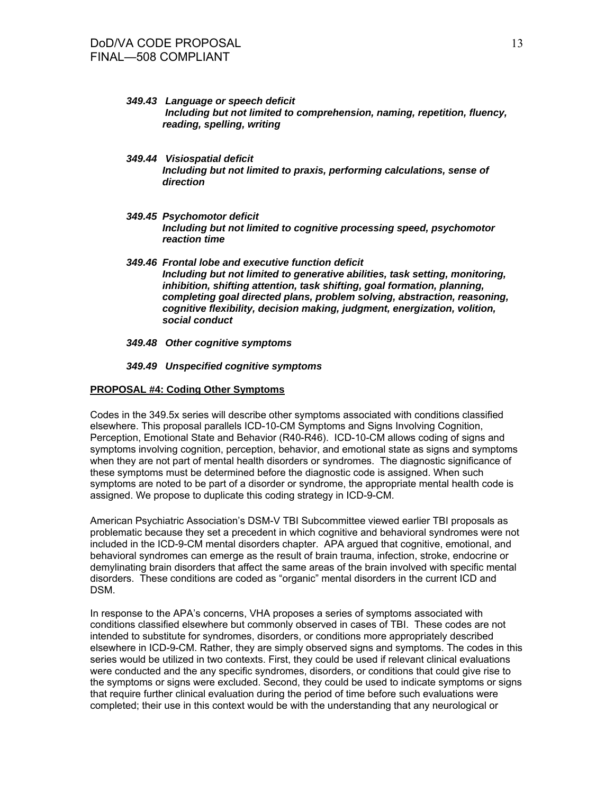- *349.43 Language or speech deficit Including but not limited to comprehension, naming, repetition, fluency, reading, spelling, writing*
- *349.44 Visiospatial deficit Including but not limited to praxis, performing calculations, sense of direction*
- *349.45 Psychomotor deficit Including but not limited to cognitive processing speed, psychomotor reaction time*
- *349.46 Frontal lobe and executive function deficit Including but not limited to generative abilities, task setting, monitoring, inhibition, shifting attention, task shifting, goal formation, planning, completing goal directed plans, problem solving, abstraction, reasoning, cognitive flexibility, decision making, judgment, energization, volition, social conduct*
- *349.48 Other cognitive symptoms*

## *349.49 Unspecified cognitive symptoms*

#### **PROPOSAL #4: Coding Other Symptoms**

Codes in the 349.5x series will describe other symptoms associated with conditions classified elsewhere. This proposal parallels ICD-10-CM Symptoms and Signs Involving Cognition, Perception, Emotional State and Behavior (R40-R46). ICD-10-CM allows coding of signs and symptoms involving cognition, perception, behavior, and emotional state as signs and symptoms when they are not part of mental health disorders or syndromes. The diagnostic significance of these symptoms must be determined before the diagnostic code is assigned. When such symptoms are noted to be part of a disorder or syndrome, the appropriate mental health code is assigned. We propose to duplicate this coding strategy in ICD-9-CM.

American Psychiatric Association's DSM-V TBI Subcommittee viewed earlier TBI proposals as problematic because they set a precedent in which cognitive and behavioral syndromes were not included in the ICD-9-CM mental disorders chapter. APA argued that cognitive, emotional, and behavioral syndromes can emerge as the result of brain trauma, infection, stroke, endocrine or demylinating brain disorders that affect the same areas of the brain involved with specific mental disorders. These conditions are coded as "organic" mental disorders in the current ICD and DSM.

In response to the APA's concerns, VHA proposes a series of symptoms associated with conditions classified elsewhere but commonly observed in cases of TBI. These codes are not intended to substitute for syndromes, disorders, or conditions more appropriately described elsewhere in ICD-9-CM. Rather, they are simply observed signs and symptoms. The codes in this series would be utilized in two contexts. First, they could be used if relevant clinical evaluations were conducted and the any specific syndromes, disorders, or conditions that could give rise to the symptoms or signs were excluded. Second, they could be used to indicate symptoms or signs that require further clinical evaluation during the period of time before such evaluations were completed; their use in this context would be with the understanding that any neurological or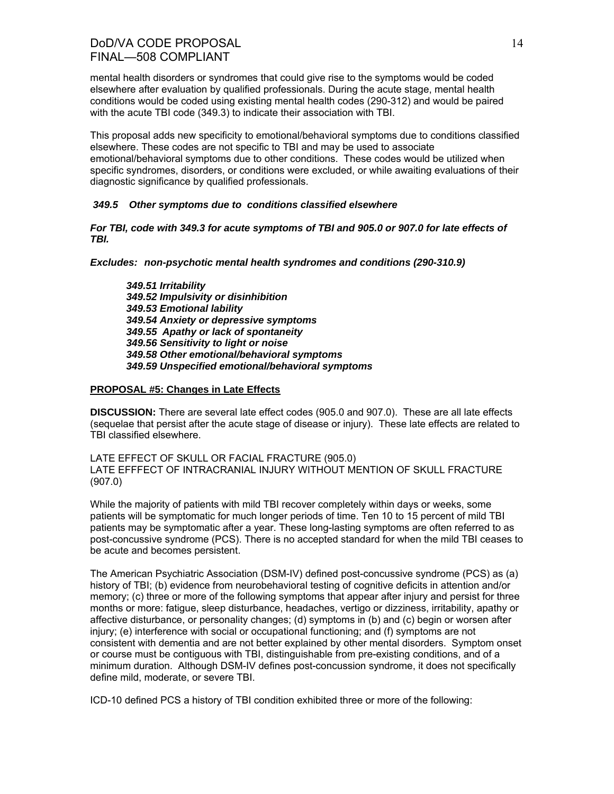mental health disorders or syndromes that could give rise to the symptoms would be coded elsewhere after evaluation by qualified professionals. During the acute stage, mental health conditions would be coded using existing mental health codes (290-312) and would be paired with the acute TBI code (349.3) to indicate their association with TBI.

This proposal adds new specificity to emotional/behavioral symptoms due to conditions classified elsewhere. These codes are not specific to TBI and may be used to associate emotional/behavioral symptoms due to other conditions. These codes would be utilized when specific syndromes, disorders, or conditions were excluded, or while awaiting evaluations of their diagnostic significance by qualified professionals.

## *349.5 Other symptoms due to conditions classified elsewhere*

*For TBI, code with 349.3 for acute symptoms of TBI and 905.0 or 907.0 for late effects of TBI.* 

*Excludes: non-psychotic mental health syndromes and conditions (290-310.9)* 

*349.51 Irritability 349.52 Impulsivity or disinhibition 349.53 Emotional lability 349.54 Anxiety or depressive symptoms 349.55 Apathy or lack of spontaneity 349.56 Sensitivity to light or noise 349.58 Other emotional/behavioral symptoms 349.59 Unspecified emotional/behavioral symptoms* 

#### **PROPOSAL #5: Changes in Late Effects**

**DISCUSSION:** There are several late effect codes (905.0 and 907.0). These are all late effects (sequelae that persist after the acute stage of disease or injury). These late effects are related to TBI classified elsewhere.

LATE EFFECT OF SKULL OR FACIAL FRACTURE (905.0) LATE EFFFECT OF INTRACRANIAL INJURY WITHOUT MENTION OF SKULL FRACTURE (907.0)

While the majority of patients with mild TBI recover completely within days or weeks, some patients will be symptomatic for much longer periods of time. Ten 10 to 15 percent of mild TBI patients may be symptomatic after a year. These long-lasting symptoms are often referred to as post-concussive syndrome (PCS). There is no accepted standard for when the mild TBI ceases to be acute and becomes persistent.

The American Psychiatric Association (DSM-IV) defined post-concussive syndrome (PCS) as (a) history of TBI; (b) evidence from neurobehavioral testing of cognitive deficits in attention and/or memory; (c) three or more of the following symptoms that appear after injury and persist for three months or more: fatigue, sleep disturbance, headaches, vertigo or dizziness, irritability, apathy or affective disturbance, or personality changes; (d) symptoms in (b) and (c) begin or worsen after injury; (e) interference with social or occupational functioning; and (f) symptoms are not consistent with dementia and are not better explained by other mental disorders. Symptom onset or course must be contiguous with TBI, distinguishable from pre-existing conditions, and of a minimum duration. Although DSM-IV defines post-concussion syndrome, it does not specifically define mild, moderate, or severe TBI.

ICD-10 defined PCS a history of TBI condition exhibited three or more of the following: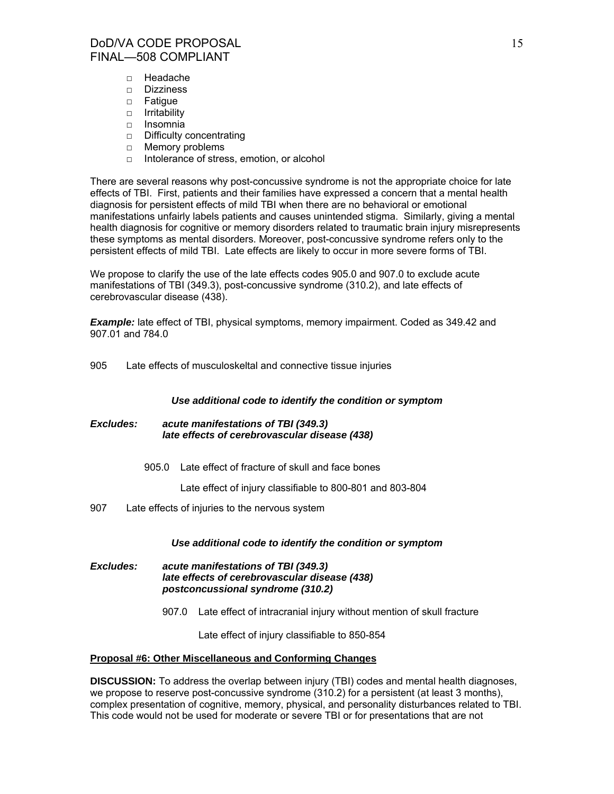- □ Headache
- □ Dizziness
- □ Fatigue
- □ Irritability
- □ Insomnia
- □ Difficulty concentrating
- □ Memory problems
- □ Intolerance of stress, emotion, or alcohol

There are several reasons why post-concussive syndrome is not the appropriate choice for late effects of TBI. First, patients and their families have expressed a concern that a mental health diagnosis for persistent effects of mild TBI when there are no behavioral or emotional manifestations unfairly labels patients and causes unintended stigma. Similarly, giving a mental health diagnosis for cognitive or memory disorders related to traumatic brain injury misrepresents these symptoms as mental disorders. Moreover, post-concussive syndrome refers only to the persistent effects of mild TBI. Late effects are likely to occur in more severe forms of TBI.

We propose to clarify the use of the late effects codes 905.0 and 907.0 to exclude acute manifestations of TBI (349.3), post-concussive syndrome (310.2), and late effects of cerebrovascular disease (438).

**Example:** late effect of TBI, physical symptoms, memory impairment. Coded as 349.42 and 907.01 and 784.0

905 Late effects of musculoskeltal and connective tissue injuries

## *Use additional code to identify the condition or symptom*

*Excludes: acute manifestations of TBI (349.3) late effects of cerebrovascular disease (438)*

905.0 Late effect of fracture of skull and face bones

Late effect of injury classifiable to 800-801 and 803-804

907 Late effects of injuries to the nervous system

## *Use additional code to identify the condition or symptom*

*Excludes: acute manifestations of TBI (349.3) postconcussional syndrome (310.2) late effects of cerebrovascular disease (438)*

907.0 Late effect of intracranial injury without mention of skull fracture

Late effect of injury classifiable to 850-854

## **Proposal #6: Other Miscellaneous and Conforming Changes**

**DISCUSSION:** To address the overlap between injury (TBI) codes and mental health diagnoses, we propose to reserve post-concussive syndrome (310.2) for a persistent (at least 3 months), complex presentation of cognitive, memory, physical, and personality disturbances related to TBI. This code would not be used for moderate or severe TBI or for presentations that are not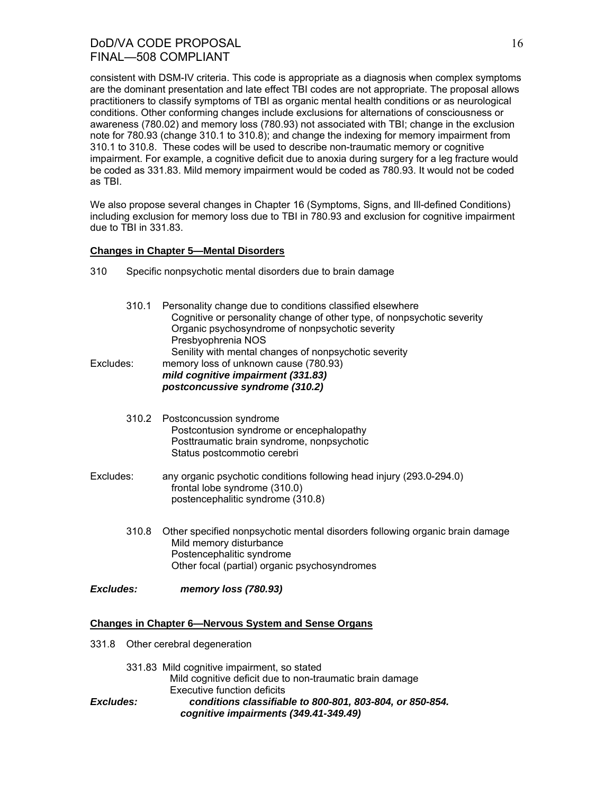consistent with DSM-IV criteria. This code is appropriate as a diagnosis when complex symptoms are the dominant presentation and late effect TBI codes are not appropriate. The proposal allows practitioners to classify symptoms of TBI as organic mental health conditions or as neurological conditions. Other conforming changes include exclusions for alternations of consciousness or awareness (780.02) and memory loss (780.93) not associated with TBI; change in the exclusion note for 780.93 (change 310.1 to 310.8); and change the indexing for memory impairment from 310.1 to 310.8. These codes will be used to describe non-traumatic memory or cognitive impairment. For example, a cognitive deficit due to anoxia during surgery for a leg fracture would be coded as 331.83. Mild memory impairment would be coded as 780.93. It would not be coded as TBI.

We also propose several changes in Chapter 16 (Symptoms, Signs, and Ill-defined Conditions) including exclusion for memory loss due to TBI in 780.93 and exclusion for cognitive impairment due to TBI in 331.83.

## **Changes in Chapter 5—Mental Disorders**

310 Specific nonpsychotic mental disorders due to brain damage

|           | 310.1 | Personality change due to conditions classified elsewhere<br>Cognitive or personality change of other type, of nonpsychotic severity<br>Organic psychosyndrome of nonpsychotic severity<br>Presbyophrenia NOS<br>Senility with mental changes of nonpsychotic severity |
|-----------|-------|------------------------------------------------------------------------------------------------------------------------------------------------------------------------------------------------------------------------------------------------------------------------|
| Excludes: |       | memory loss of unknown cause (780.93)<br>mild cognitive impairment (331.83)<br>postconcussive syndrome (310.2)                                                                                                                                                         |
|           |       | 310.2 Postconcussion syndrome<br>Postcontusion syndrome or encephalopathy<br>Posttraumatic brain syndrome, nonpsychotic<br>Status postcommotio cerebri                                                                                                                 |
| Excludes: |       | any organic psychotic conditions following head injury (293.0-294.0)<br>frontal lobe syndrome (310.0)<br>postencephalitic syndrome (310.8)                                                                                                                             |
|           | 310.8 | Other specified nonpsychotic mental disorders following organic brain damage<br>Mild memory disturbance<br>Postencephalitic syndrome<br>Other focal (partial) organic psychosyndromes                                                                                  |
| Excludes: |       | memory loss (780.93)                                                                                                                                                                                                                                                   |
|           |       | <b>Changes in Chapter 6-Nervous System and Sense Organs</b>                                                                                                                                                                                                            |
| 331.8     |       | Other cerebral degeneration                                                                                                                                                                                                                                            |
|           |       | 331.83 Mild cognitive impairment, so stated<br>Mild cognitive deficit due to non-traumatic brain damage<br>Executive function deficits                                                                                                                                 |

*Excludes: conditions classifiable to 800-801, 803-804, or 850-854. cognitive impairments (349.41-349.49)*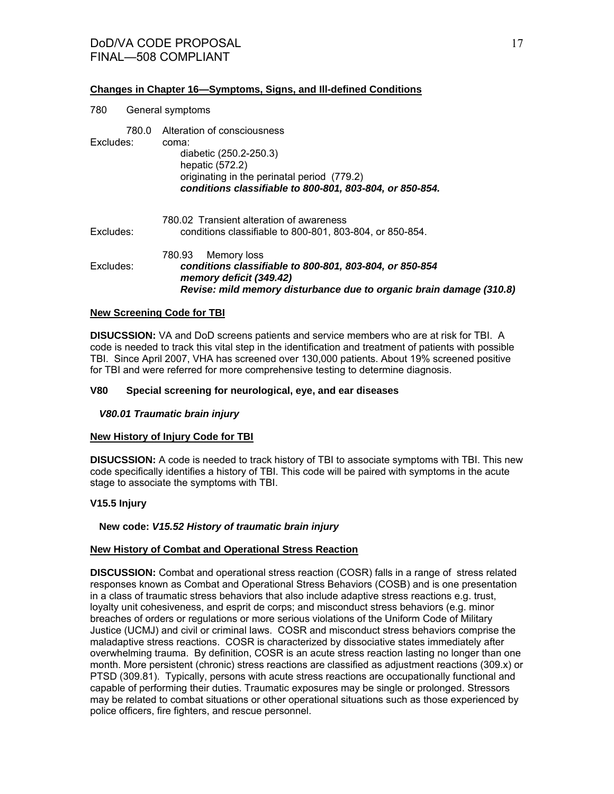## **Changes in Chapter 16—Symptoms, Signs, and Ill-defined Conditions**

| 780       | General symptoms |                                                                                                                                                                                                |
|-----------|------------------|------------------------------------------------------------------------------------------------------------------------------------------------------------------------------------------------|
| Excludes: | 780.0            | Alteration of consciousness<br>coma:<br>diabetic (250.2-250.3)<br>hepatic $(572.2)$<br>originating in the perinatal period (779.2)<br>conditions classifiable to 800-801, 803-804, or 850-854. |
| Excludes: |                  | 780.02 Transient alteration of awareness<br>conditions classifiable to 800-801, 803-804, or 850-854.                                                                                           |
| Excludes: |                  | Memory loss<br>780.93<br>conditions classifiable to 800-801, 803-804, or 850-854<br>memory deficit (349.42)<br>Revise: mild memory disturbance due to organic brain damage (310.8)             |

## **New Screening Code for TBI**

**DISUCSSION:** VA and DoD screens patients and service members who are at risk for TBI. A code is needed to track this vital step in the identification and treatment of patients with possible TBI. Since April 2007, VHA has screened over 130,000 patients. About 19% screened positive for TBI and were referred for more comprehensive testing to determine diagnosis.

## **V80 Special screening for neurological, eye, and ear diseases**

## *V80.01 Traumatic brain injury*

## **New History of Injury Code for TBI**

**DISUCSSION:** A code is needed to track history of TBI to associate symptoms with TBI. This new code specifically identifies a history of TBI. This code will be paired with symptoms in the acute stage to associate the symptoms with TBI.

## **V15.5 Injury**

## **New code:** *V15.52 History of traumatic brain injury*

## **New History of Combat and Operational Stress Reaction**

**DISCUSSION:** Combat and operational stress reaction (COSR) falls in a range of stress related responses known as Combat and Operational Stress Behaviors (COSB) and is one presentation in a class of traumatic stress behaviors that also include adaptive stress reactions e.g. trust, loyalty unit cohesiveness, and esprit de corps; and misconduct stress behaviors (e.g. minor breaches of orders or regulations or more serious violations of the Uniform Code of Military Justice (UCMJ) and civil or criminal laws. COSR and misconduct stress behaviors comprise the maladaptive stress reactions. COSR is characterized by dissociative states immediately after overwhelming trauma. By definition, COSR is an acute stress reaction lasting no longer than one month. More persistent (chronic) stress reactions are classified as adjustment reactions (309.x) or PTSD (309.81). Typically, persons with acute stress reactions are occupationally functional and capable of performing their duties. Traumatic exposures may be single or prolonged. Stressors may be related to combat situations or other operational situations such as those experienced by police officers, fire fighters, and rescue personnel.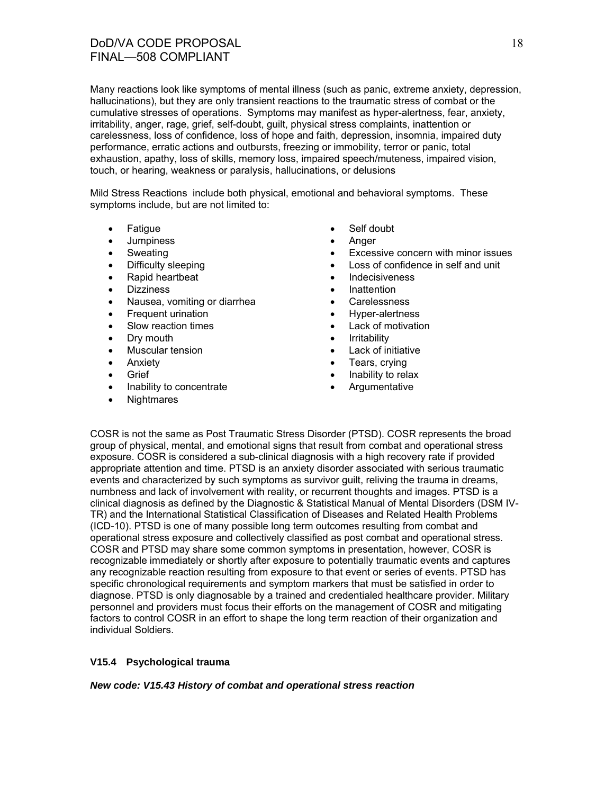Many reactions look like symptoms of mental illness (such as panic, extreme anxiety, depression, hallucinations), but they are only transient reactions to the traumatic stress of combat or the cumulative stresses of operations. Symptoms may manifest as hyper-alertness, fear, anxiety, irritability, anger, rage, grief, self-doubt, guilt, physical stress complaints, inattention or carelessness, loss of confidence, loss of hope and faith, depression, insomnia, impaired duty performance, erratic actions and outbursts, freezing or immobility, terror or panic, total exhaustion, apathy, loss of skills, memory loss, impaired speech/muteness, impaired vision, touch, or hearing, weakness or paralysis, hallucinations, or delusions

Mild Stress Reactions include both physical, emotional and behavioral symptoms. These symptoms include, but are not limited to:

- Fatigue
- Jumpiness
- Sweating
- Difficulty sleeping
- Rapid heartbeat
- Dizziness
- Nausea, vomiting or diarrhea
- Frequent urination
- Slow reaction times
- Dry mouth
- Muscular tension
- Anxiety
- Grief
- Inability to concentrate
- **Nightmares**
- Self doubt
- Anger
- Excessive concern with minor issues
- Loss of confidence in self and unit
- **Indecisiveness**
- **Inattention**
- **Carelessness**
- Hyper-alertness
- Lack of motivation
- **Irritability**
- Lack of initiative
- Tears, crying
- Inability to relax
- Argumentative

COSR is not the same as Post Traumatic Stress Disorder (PTSD). COSR represents the broad group of physical, mental, and emotional signs that result from combat and operational stress exposure. COSR is considered a sub-clinical diagnosis with a high recovery rate if provided appropriate attention and time. PTSD is an anxiety disorder associated with serious traumatic events and characterized by such symptoms as survivor guilt, reliving the trauma in dreams, numbness and lack of involvement with reality, or recurrent thoughts and images. PTSD is a clinical diagnosis as defined by the Diagnostic & Statistical Manual of Mental Disorders (DSM IV-TR) and the International Statistical Classification of Diseases and Related Health Problems (ICD-10). PTSD is one of many possible long term outcomes resulting from combat and operational stress exposure and collectively classified as post combat and operational stress. COSR and PTSD may share some common symptoms in presentation, however, COSR is recognizable immediately or shortly after exposure to potentially traumatic events and captures any recognizable reaction resulting from exposure to that event or series of events. PTSD has specific chronological requirements and symptom markers that must be satisfied in order to diagnose. PTSD is only diagnosable by a trained and credentialed healthcare provider. Military personnel and providers must focus their efforts on the management of COSR and mitigating factors to control COSR in an effort to shape the long term reaction of their organization and individual Soldiers.

## **V15.4 Psychological trauma**

*New code: V15.43 History of combat and operational stress reaction*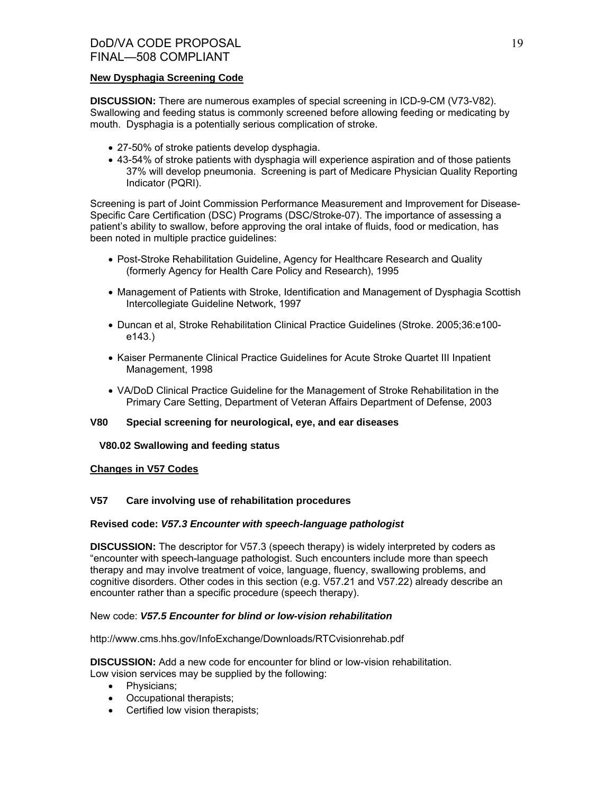## **New Dysphagia Screening Code**

**DISCUSSION:** There are numerous examples of special screening in ICD-9-CM (V73-V82). Swallowing and feeding status is commonly screened before allowing feeding or medicating by mouth. Dysphagia is a potentially serious complication of stroke.

- 27-50% of stroke patients develop dysphagia.
- 43-54% of stroke patients with dysphagia will experience aspiration and of those patients 37% will develop pneumonia. Screening is part of Medicare Physician Quality Reporting Indicator (PQRI).

Screening is part of Joint Commission Performance Measurement and Improvement for Disease-Specific Care Certification (DSC) Programs (DSC/Stroke-07). The importance of assessing a patient's ability to swallow, before approving the oral intake of fluids, food or medication, has been noted in multiple practice guidelines:

- Post-Stroke Rehabilitation Guideline, Agency for Healthcare Research and Quality (formerly Agency for Health Care Policy and Research), 1995
- Management of Patients with Stroke, Identification and Management of Dysphagia Scottish Intercollegiate Guideline Network, 1997
- Duncan et al, Stroke Rehabilitation Clinical Practice Guidelines (Stroke. 2005;36:e100 e143.)
- Kaiser Permanente Clinical Practice Guidelines for Acute Stroke Quartet III Inpatient Management, 1998
- VA/DoD Clinical Practice Guideline for the Management of Stroke Rehabilitation in the Primary Care Setting, Department of Veteran Affairs Department of Defense, 2003

## **V80 Special screening for neurological, eye, and ear diseases**

## **V80.02 Swallowing and feeding status**

## **Changes in V57 Codes**

## **V57 Care involving use of rehabilitation procedures**

## **Revised code:** *V57.3 Encounter with speech-language pathologist*

**DISCUSSION:** The descriptor for V57.3 (speech therapy) is widely interpreted by coders as "encounter with speech-language pathologist. Such encounters include more than speech therapy and may involve treatment of voice, language, fluency, swallowing problems, and cognitive disorders. Other codes in this section (e.g. V57.21 and V57.22) already describe an encounter rather than a specific procedure (speech therapy).

## New code: *V57.5 Encounter for blind or low-vision rehabilitation*

<http://www.cms.hhs.gov/InfoExchange/Downloads/RTCvisionrehab.pdf>

**DISCUSSION:** Add a new code for encounter for blind or low-vision rehabilitation. Low vision services may be supplied by the following:

- Physicians;
- Occupational therapists;
- Certified low vision therapists;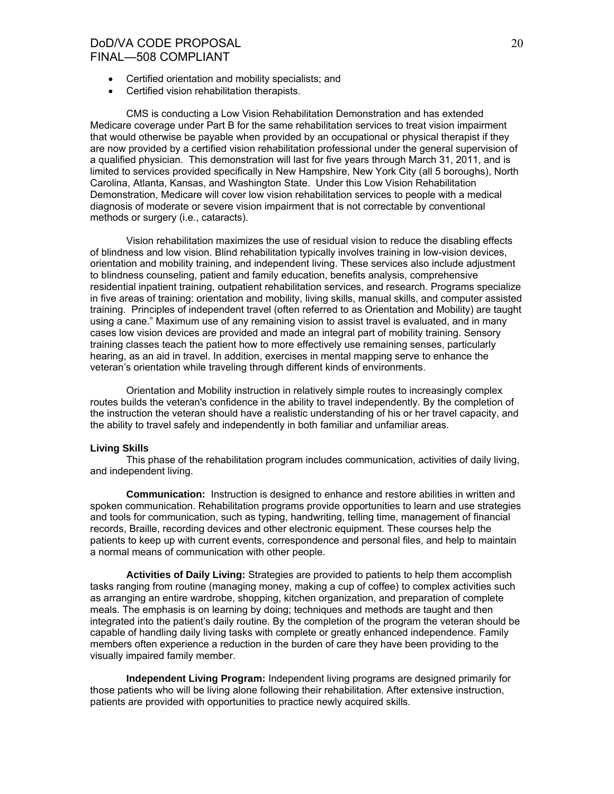- Certified orientation and mobility specialists; and
- Certified vision rehabilitation therapists.

 CMS is conducting a Low Vision Rehabilitation Demonstration and has extended Medicare coverage under Part B for the same rehabilitation services to treat vision impairment that would otherwise be payable when provided by an occupational or physical therapist if they are now provided by a certified vision rehabilitation professional under the general supervision of a qualified physician. This demonstration will last for five years through March 31, 2011, and is limited to services provided specifically in New Hampshire, New York City (all 5 boroughs), North Carolina, Atlanta, Kansas, and Washington State. Under this Low Vision Rehabilitation Demonstration, Medicare will cover low vision rehabilitation services to people with a medical diagnosis of moderate or severe vision impairment that is not correctable by conventional methods or surgery (i.e., cataracts).

 Vision rehabilitation maximizes the use of residual vision to reduce the disabling effects of blindness and low vision. Blind rehabilitation typically involves training in low-vision devices, orientation and mobility training, and independent living. These services also include adjustment to blindness counseling, patient and family education, benefits analysis, comprehensive residential inpatient training, outpatient rehabilitation services, and research. Programs specialize in five areas of training: orientation and mobility, living skills, manual skills, and computer assisted training. Principles of independent travel (often referred to as Orientation and Mobility) are taught using a cane." Maximum use of any remaining vision to assist travel is evaluated, and in many cases low vision devices are provided and made an integral part of mobility training. Sensory training classes teach the patient how to more effectively use remaining senses, particularly hearing, as an aid in travel. In addition, exercises in mental mapping serve to enhance the veteran's orientation while traveling through different kinds of environments.

 Orientation and Mobility instruction in relatively simple routes to increasingly complex routes builds the veteran's confidence in the ability to travel independently. By the completion of the instruction the veteran should have a realistic understanding of his or her travel capacity, and the ability to travel safely and independently in both familiar and unfamiliar areas.

#### **Living Skills**

 This phase of the rehabilitation program includes communication, activities of daily living, and independent living.

**Communication:** Instruction is designed to enhance and restore abilities in written and spoken communication. Rehabilitation programs provide opportunities to learn and use strategies and tools for communication, such as typing, handwriting, telling time, management of financial records, Braille, recording devices and other electronic equipment. These courses help the patients to keep up with current events, correspondence and personal files, and help to maintain a normal means of communication with other people.

 **Activities of Daily Living:** Strategies are provided to patients to help them accomplish tasks ranging from routine (managing money, making a cup of coffee) to complex activities such as arranging an entire wardrobe, shopping, kitchen organization, and preparation of complete meals. The emphasis is on learning by doing; techniques and methods are taught and then integrated into the patient's daily routine. By the completion of the program the veteran should be capable of handling daily living tasks with complete or greatly enhanced independence. Family members often experience a reduction in the burden of care they have been providing to the visually impaired family member.

**Independent Living Program:** Independent living programs are designed primarily for those patients who will be living alone following their rehabilitation. After extensive instruction, patients are provided with opportunities to practice newly acquired skills.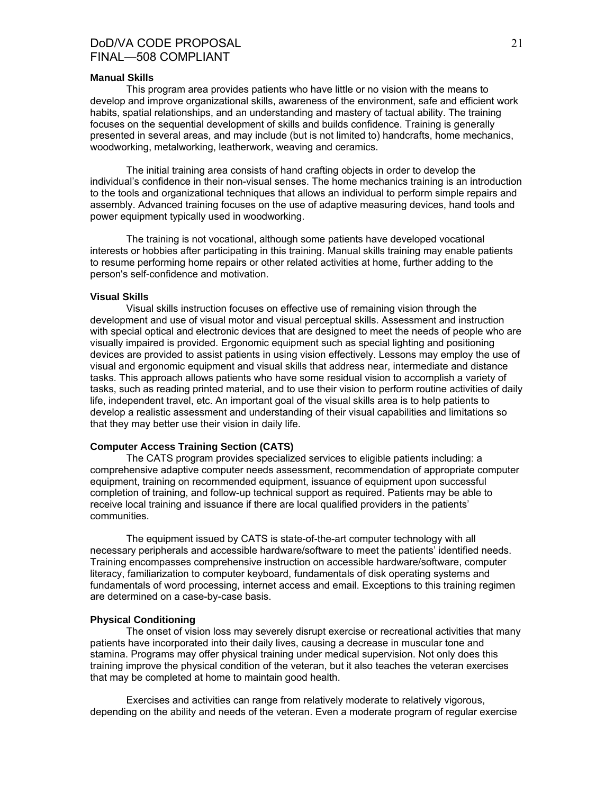#### **Manual Skills**

 This program area provides patients who have little or no vision with the means to develop and improve organizational skills, awareness of the environment, safe and efficient work habits, spatial relationships, and an understanding and mastery of tactual ability. The training focuses on the sequential development of skills and builds confidence. Training is generally presented in several areas, and may include (but is not limited to) handcrafts, home mechanics, woodworking, metalworking, leatherwork, weaving and ceramics.

 The initial training area consists of hand crafting objects in order to develop the individual's confidence in their non-visual senses. The home mechanics training is an introduction to the tools and organizational techniques that allows an individual to perform simple repairs and assembly. Advanced training focuses on the use of adaptive measuring devices, hand tools and power equipment typically used in woodworking.

 The training is not vocational, although some patients have developed vocational interests or hobbies after participating in this training. Manual skills training may enable patients to resume performing home repairs or other related activities at home, further adding to the person's self-confidence and motivation.

#### **Visual Skills**

 Visual skills instruction focuses on effective use of remaining vision through the development and use of visual motor and visual perceptual skills. Assessment and instruction with special optical and electronic devices that are designed to meet the needs of people who are visually impaired is provided. Ergonomic equipment such as special lighting and positioning devices are provided to assist patients in using vision effectively. Lessons may employ the use of visual and ergonomic equipment and visual skills that address near, intermediate and distance tasks. This approach allows patients who have some residual vision to accomplish a variety of tasks, such as reading printed material, and to use their vision to perform routine activities of daily life, independent travel, etc. An important goal of the visual skills area is to help patients to develop a realistic assessment and understanding of their visual capabilities and limitations so that they may better use their vision in daily life.

#### **Computer Access Training Section (CATS)**

 The CATS program provides specialized services to eligible patients including: a comprehensive adaptive computer needs assessment, recommendation of appropriate computer equipment, training on recommended equipment, issuance of equipment upon successful completion of training, and follow-up technical support as required. Patients may be able to receive local training and issuance if there are local qualified providers in the patients' communities.

 The equipment issued by CATS is state-of-the-art computer technology with all necessary peripherals and accessible hardware/software to meet the patients' identified needs. Training encompasses comprehensive instruction on accessible hardware/software, computer literacy, familiarization to computer keyboard, fundamentals of disk operating systems and fundamentals of word processing, internet access and email. Exceptions to this training regimen are determined on a case-by-case basis.

#### **Physical Conditioning**

 The onset of vision loss may severely disrupt exercise or recreational activities that many patients have incorporated into their daily lives, causing a decrease in muscular tone and stamina. Programs may offer physical training under medical supervision. Not only does this training improve the physical condition of the veteran, but it also teaches the veteran exercises that may be completed at home to maintain good health.

 Exercises and activities can range from relatively moderate to relatively vigorous, depending on the ability and needs of the veteran. Even a moderate program of regular exercise